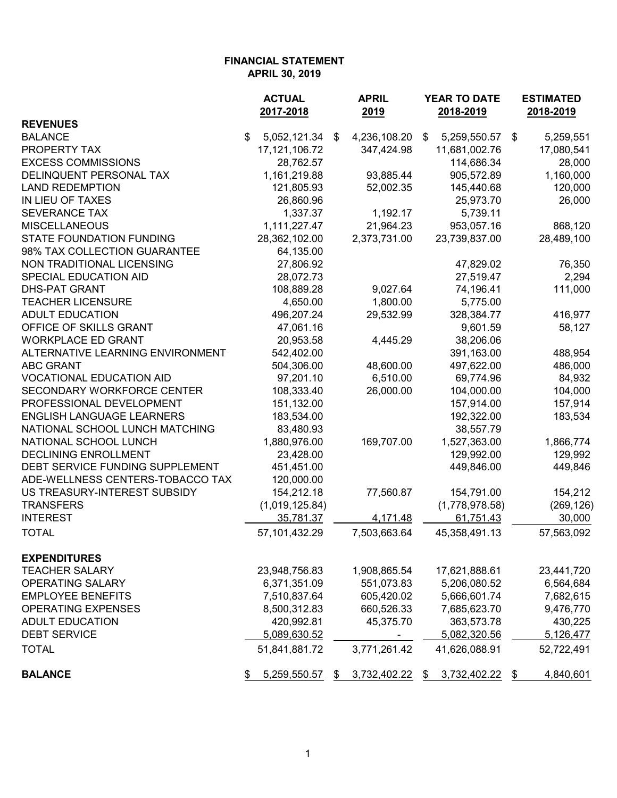|                                  | <b>ACTUAL</b><br>2017-2018 | <b>APRIL</b><br>2019 | YEAR TO DATE<br>2018-2019 |     | <b>ESTIMATED</b><br>2018-2019 |
|----------------------------------|----------------------------|----------------------|---------------------------|-----|-------------------------------|
| <b>REVENUES</b>                  |                            |                      |                           |     |                               |
| <b>BALANCE</b>                   | \$<br>5,052,121.34         | \$<br>4,236,108.20   | \$<br>5,259,550.57        | -\$ | 5,259,551                     |
| PROPERTY TAX                     | 17, 121, 106. 72           | 347,424.98           | 11,681,002.76             |     | 17,080,541                    |
| <b>EXCESS COMMISSIONS</b>        | 28,762.57                  |                      | 114,686.34                |     | 28,000                        |
| DELINQUENT PERSONAL TAX          | 1,161,219.88               | 93,885.44            | 905,572.89                |     | 1,160,000                     |
| <b>LAND REDEMPTION</b>           | 121,805.93                 | 52,002.35            | 145,440.68                |     | 120,000                       |
| IN LIEU OF TAXES                 | 26,860.96                  |                      | 25,973.70                 |     | 26,000                        |
| <b>SEVERANCE TAX</b>             | 1,337.37                   | 1,192.17             | 5,739.11                  |     |                               |
| <b>MISCELLANEOUS</b>             | 1,111,227.47               | 21,964.23            | 953,057.16                |     | 868,120                       |
| <b>STATE FOUNDATION FUNDING</b>  | 28,362,102.00              | 2,373,731.00         | 23,739,837.00             |     | 28,489,100                    |
| 98% TAX COLLECTION GUARANTEE     | 64,135.00                  |                      |                           |     |                               |
| NON TRADITIONAL LICENSING        | 27,806.92                  |                      | 47,829.02                 |     | 76,350                        |
| SPECIAL EDUCATION AID            | 28,072.73                  |                      | 27,519.47                 |     | 2,294                         |
| <b>DHS-PAT GRANT</b>             | 108,889.28                 | 9,027.64             | 74,196.41                 |     | 111,000                       |
| <b>TEACHER LICENSURE</b>         | 4,650.00                   | 1,800.00             | 5,775.00                  |     |                               |
| <b>ADULT EDUCATION</b>           | 496,207.24                 | 29,532.99            | 328,384.77                |     | 416,977                       |
| OFFICE OF SKILLS GRANT           | 47,061.16                  |                      | 9,601.59                  |     | 58,127                        |
| <b>WORKPLACE ED GRANT</b>        | 20,953.58                  | 4,445.29             | 38,206.06                 |     |                               |
| ALTERNATIVE LEARNING ENVIRONMENT | 542,402.00                 |                      | 391,163.00                |     | 488,954                       |
| <b>ABC GRANT</b>                 | 504,306.00                 | 48,600.00            | 497,622.00                |     | 486,000                       |
| <b>VOCATIONAL EDUCATION AID</b>  | 97,201.10                  | 6,510.00             | 69,774.96                 |     | 84,932                        |
| SECONDARY WORKFORCE CENTER       | 108,333.40                 | 26,000.00            | 104,000.00                |     | 104,000                       |
| PROFESSIONAL DEVELOPMENT         | 151,132.00                 |                      | 157,914.00                |     | 157,914                       |
| <b>ENGLISH LANGUAGE LEARNERS</b> | 183,534.00                 |                      | 192,322.00                |     | 183,534                       |
| NATIONAL SCHOOL LUNCH MATCHING   | 83,480.93                  |                      | 38,557.79                 |     |                               |
| NATIONAL SCHOOL LUNCH            | 1,880,976.00               | 169,707.00           | 1,527,363.00              |     | 1,866,774                     |
| <b>DECLINING ENROLLMENT</b>      | 23,428.00                  |                      | 129,992.00                |     | 129,992                       |
| DEBT SERVICE FUNDING SUPPLEMENT  | 451,451.00                 |                      | 449,846.00                |     | 449,846                       |
| ADE-WELLNESS CENTERS-TOBACCO TAX | 120,000.00                 |                      |                           |     |                               |
| US TREASURY-INTEREST SUBSIDY     | 154,212.18                 | 77,560.87            | 154,791.00                |     | 154,212                       |
| <b>TRANSFERS</b>                 | (1,019,125.84)             |                      | (1,778,978.58)            |     | (269, 126)                    |
| <b>INTEREST</b>                  | 35,781.37                  | 4,171.48             | 61,751.43                 |     | 30,000                        |
| <b>TOTAL</b>                     | 57,101,432.29              | 7,503,663.64         | 45,358,491.13             |     | 57,563,092                    |
| <b>EXPENDITURES</b>              |                            |                      |                           |     |                               |
| <b>TEACHER SALARY</b>            | 23,948,756.83              | 1,908,865.54         | 17,621,888.61             |     | 23,441,720                    |
| OPERATING SALARY                 | 6,371,351.09               | 551,073.83           | 5,206,080.52              |     | 6,564,684                     |
| <b>EMPLOYEE BENEFITS</b>         | 7,510,837.64               | 605,420.02           | 5,666,601.74              |     | 7,682,615                     |
| <b>OPERATING EXPENSES</b>        | 8,500,312.83               | 660,526.33           | 7,685,623.70              |     | 9,476,770                     |
| <b>ADULT EDUCATION</b>           | 420,992.81                 | 45,375.70            | 363,573.78                |     | 430,225                       |
| <b>DEBT SERVICE</b>              | 5,089,630.52               |                      | 5,082,320.56              |     | 5,126,477                     |
| <b>TOTAL</b>                     | 51,841,881.72              | 3,771,261.42         | 41,626,088.91             |     | 52,722,491                    |
| <b>BALANCE</b>                   | 5,259,550.57               | \$<br>3,732,402.22   | \$<br>3,732,402.22        | \$  | 4,840,601                     |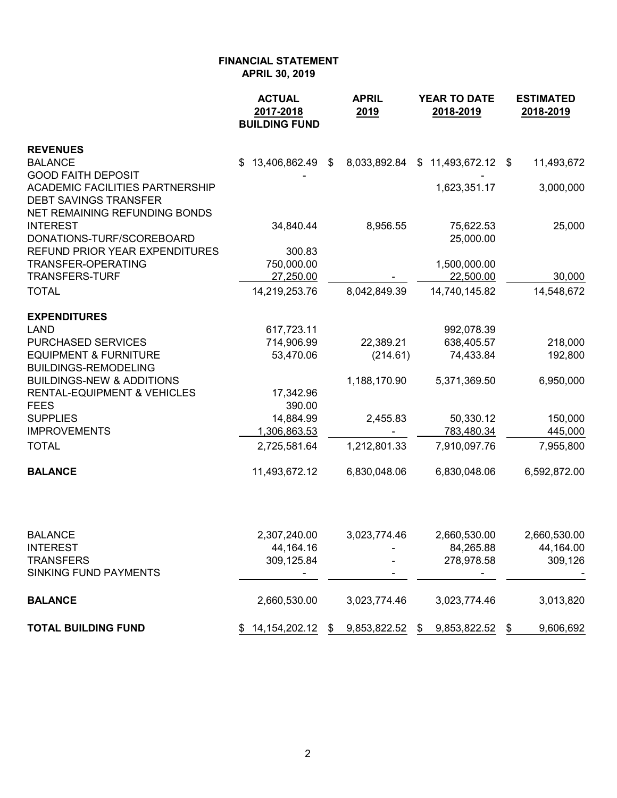|                                                                     | <b>ACTUAL</b><br>2017-2018<br><b>BUILDING FUND</b> |      | <b>APRIL</b><br>2019 | <b>YEAR TO DATE</b><br>2018-2019 | <b>ESTIMATED</b><br>2018-2019 |
|---------------------------------------------------------------------|----------------------------------------------------|------|----------------------|----------------------------------|-------------------------------|
| <b>REVENUES</b>                                                     |                                                    |      |                      |                                  |                               |
| <b>BALANCE</b><br><b>GOOD FAITH DEPOSIT</b>                         | $$13,406,862.49$ \$                                |      | 8,033,892.84         | $$11,493,672.12$ \$              | 11,493,672                    |
| <b>ACADEMIC FACILITIES PARTNERSHIP</b>                              |                                                    |      |                      | 1,623,351.17                     | 3,000,000                     |
| <b>DEBT SAVINGS TRANSFER</b>                                        |                                                    |      |                      |                                  |                               |
| NET REMAINING REFUNDING BONDS                                       |                                                    |      |                      |                                  |                               |
| <b>INTEREST</b><br>DONATIONS-TURF/SCOREBOARD                        | 34,840.44                                          |      | 8,956.55             | 75,622.53<br>25,000.00           | 25,000                        |
| REFUND PRIOR YEAR EXPENDITURES                                      | 300.83                                             |      |                      |                                  |                               |
| <b>TRANSFER-OPERATING</b>                                           | 750,000.00                                         |      |                      | 1,500,000.00                     |                               |
| TRANSFERS-TURF                                                      | 27,250.00                                          |      |                      | 22,500.00                        | 30,000                        |
| <b>TOTAL</b>                                                        | 14,219,253.76                                      |      | 8,042,849.39         | 14,740,145.82                    | 14,548,672                    |
| <b>EXPENDITURES</b>                                                 |                                                    |      |                      |                                  |                               |
| <b>LAND</b>                                                         | 617,723.11                                         |      |                      | 992,078.39                       |                               |
| <b>PURCHASED SERVICES</b>                                           | 714,906.99                                         |      | 22,389.21            | 638,405.57                       | 218,000                       |
| <b>EQUIPMENT &amp; FURNITURE</b>                                    | 53,470.06                                          |      | (214.61)             | 74,433.84                        | 192,800                       |
| <b>BUILDINGS-REMODELING</b><br><b>BUILDINGS-NEW &amp; ADDITIONS</b> |                                                    |      | 1,188,170.90         | 5,371,369.50                     | 6,950,000                     |
| <b>RENTAL-EQUIPMENT &amp; VEHICLES</b>                              | 17,342.96                                          |      |                      |                                  |                               |
| <b>FEES</b>                                                         | 390.00                                             |      |                      |                                  |                               |
| <b>SUPPLIES</b>                                                     | 14,884.99                                          |      | 2,455.83             | 50,330.12                        | 150,000                       |
| <b>IMPROVEMENTS</b>                                                 | 1,306,863.53                                       |      |                      | 783,480.34                       | 445,000                       |
| <b>TOTAL</b>                                                        | 2,725,581.64                                       |      | 1,212,801.33         | 7,910,097.76                     | 7,955,800                     |
| <b>BALANCE</b>                                                      | 11,493,672.12                                      |      | 6,830,048.06         | 6,830,048.06                     | 6,592,872.00                  |
|                                                                     |                                                    |      |                      |                                  |                               |
| <b>BALANCE</b>                                                      | 2,307,240.00                                       |      | 3,023,774.46         | 2,660,530.00                     | 2,660,530.00                  |
| <b>INTEREST</b>                                                     | 44, 164. 16                                        |      |                      | 84,265.88                        | 44,164.00                     |
| <b>TRANSFERS</b>                                                    | 309,125.84                                         |      |                      | 278,978.58                       | 309,126                       |
| <b>SINKING FUND PAYMENTS</b>                                        |                                                    |      |                      |                                  |                               |
| <b>BALANCE</b>                                                      | 2,660,530.00                                       |      | 3,023,774.46         | 3,023,774.46                     | 3,013,820                     |
| <b>TOTAL BUILDING FUND</b>                                          | 14, 154, 202. 12                                   | - \$ | 9,853,822.52         | 9,853,822.52<br>\$               | \$<br>9,606,692               |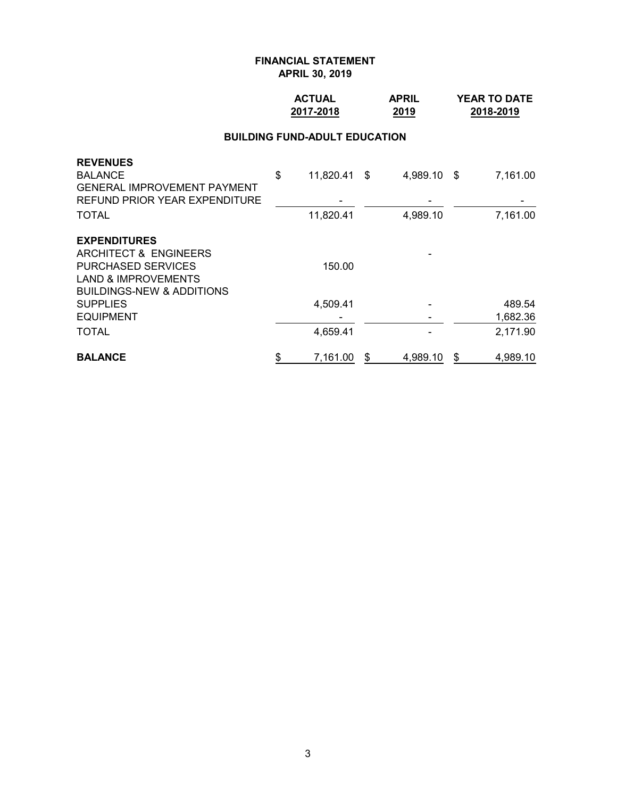## **ACTUAL APRIL YEAR TO DATE 2017-2018 2019 2018-2019**

#### **BUILDING FUND-ADULT EDUCATION**

| <b>BALANCE</b>                       | \$<br>7,161.00     | S | 4,989.10    | \$<br>4,989.10 |
|--------------------------------------|--------------------|---|-------------|----------------|
| <b>TOTAL</b>                         | 4,659.41           |   |             | 2,171.90       |
| <b>EQUIPMENT</b>                     |                    |   |             | 1,682.36       |
| <b>SUPPLIES</b>                      | 4,509.41           |   |             | 489.54         |
| <b>BUILDINGS-NEW &amp; ADDITIONS</b> |                    |   |             |                |
| <b>LAND &amp; IMPROVEMENTS</b>       |                    |   |             |                |
| <b>PURCHASED SERVICES</b>            | 150.00             |   |             |                |
| ARCHITECT & ENGINEERS                |                    |   |             |                |
| <b>EXPENDITURES</b>                  |                    |   |             |                |
| <b>TOTAL</b>                         | 11,820.41          |   | 4,989.10    | 7,161.00       |
| REFUND PRIOR YEAR EXPENDITURE        |                    |   |             |                |
| <b>GENERAL IMPROVEMENT PAYMENT</b>   |                    |   |             |                |
| <b>REVENUES</b><br><b>BALANCE</b>    | \$<br>11,820.41 \$ |   | 4,989.10 \$ | 7,161.00       |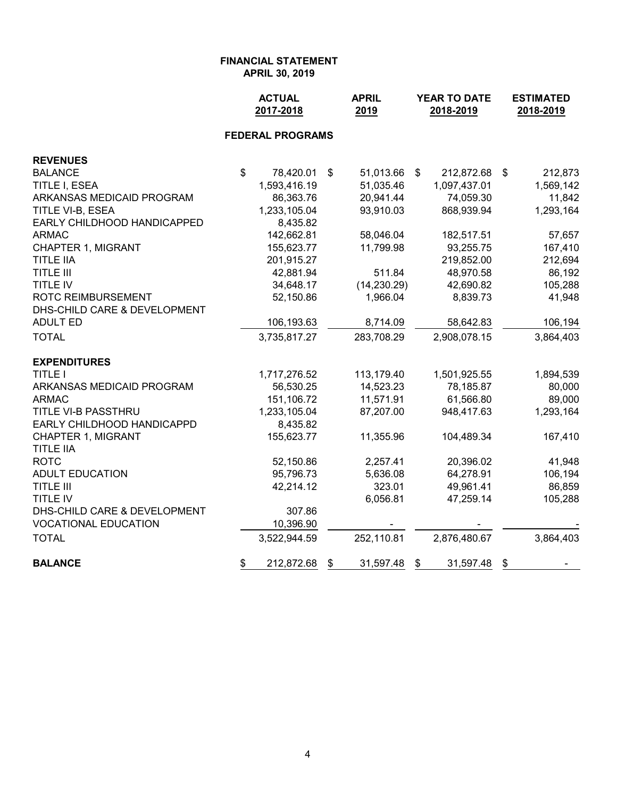**ACTUAL APRIL YEAR TO DATE ESTIMATED 2017-2018 2019 2018-2019 2018-2019 FEDERAL PROGRAMS REVENUES** BALANCE \$ 78,420.01 \$ 51,013.66 \$ 212,872.68 \$ 212,873 TITLE I, ESEA 1,593,416.19 51,035.46 1,097,437.01 1,569,142 ARKANSAS MEDICAID PROGRAM 86,363.76 20,941.44 74,059.30 11,842 TITLE VI-B, ESEA 1,233,105.04 93,910.03 868,939.94 1,293,164 EARLY CHILDHOOD HANDICAPPED 8,435.82 ARMAC 142,662.81 58,046.04 182,517.51 57,657 CHAPTER 1, MIGRANT 155,623.77 11,799.98 93,255.75 167,410 TITLE IIA 201,915.27 219,852.00 212,694 TITLE III 42,881.94 511.84 48,970.58 86,192 TITLE IV 34,648.17 (14,230.29) 42,690.82 105,288 ROTC REIMBURSEMENT 52,150.86 1,966.04 8,839.73 41,948 DHS-CHILD CARE & DEVELOPMENT ADULT ED 106,193.63 8,714.09 58,642.83 106,194 TOTAL 3,735,817.27 283,708.29 2,908,078.15 3,864,403 **EXPENDITURES** TITLE I 1,717,276.52 113,179.40 1,501,925.55 1,894,539 ARKANSAS MEDICAID PROGRAM 56,530.25 14,523.23 78,185.87 80,000 ARMAC 151,106.72 11,571.91 61,566.80 89,000 TITLE VI-B PASSTHRU 1,233,105.04 87,207.00 948,417.63 1,293,164 EARLY CHILDHOOD HANDICAPPD 8,435.82 CHAPTER 1, MIGRANT 155,623.77 11,355.96 104,489.34 167,410 TITLE IIA ROTC 52,150.86 2,257.41 20,396.02 41,948 ADULT EDUCATION 6.194 (106.194) 95.796.73 5.636.08 64.278.91 106.194 TITLE III 42,214.12 323.01 49,961.41 86,859 TITLE IV 6,056.81 47,259.14 105,288 DHS-CHILD CARE & DEVELOPMENT 307.86 VOCATIONAL EDUCATION 10,396.90 TOTAL 3,522,944.59 252,110.81 2,876,480.67 3,864,403 **BALANCE** \$ 212,872.68 \$ 31,597.48 \$ 31,597.48 \$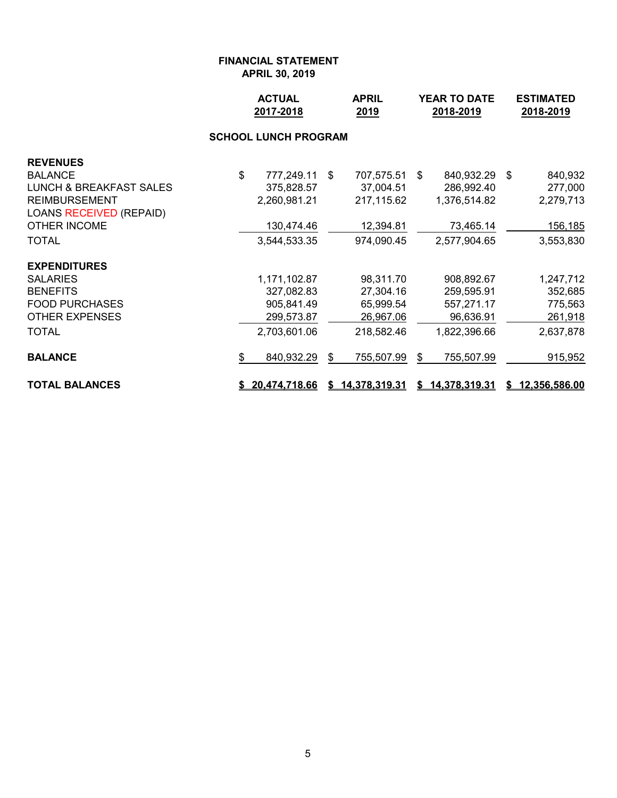|                                    |    | <b>ACTUAL</b><br>2017-2018  | <b>APRIL</b><br>2019 |                 | <b>YEAR TO DATE</b><br>2018-2019 |                 | <b>ESTIMATED</b><br>2018-2019 |
|------------------------------------|----|-----------------------------|----------------------|-----------------|----------------------------------|-----------------|-------------------------------|
|                                    |    | <b>SCHOOL LUNCH PROGRAM</b> |                      |                 |                                  |                 |                               |
| <b>REVENUES</b>                    |    |                             |                      |                 |                                  |                 |                               |
| <b>BALANCE</b>                     | \$ | 777,249.11 \$               |                      | 707,575.51      | \$                               | 840,932.29 \$   | 840,932                       |
| <b>LUNCH &amp; BREAKFAST SALES</b> |    | 375,828.57                  |                      | 37,004.51       |                                  | 286,992.40      | 277,000                       |
| <b>REIMBURSEMENT</b>               |    | 2,260,981.21                |                      | 217,115.62      |                                  | 1,376,514.82    | 2,279,713                     |
| <b>LOANS RECEIVED (REPAID)</b>     |    |                             |                      |                 |                                  |                 |                               |
| <b>OTHER INCOME</b>                |    | 130,474.46                  |                      | 12,394.81       |                                  | 73,465.14       | 156,185                       |
| <b>TOTAL</b>                       |    | 3,544,533.35                |                      | 974,090.45      |                                  | 2,577,904.65    | 3,553,830                     |
| <b>EXPENDITURES</b>                |    |                             |                      |                 |                                  |                 |                               |
| <b>SALARIES</b>                    |    | 1,171,102.87                |                      | 98,311.70       |                                  | 908,892.67      | 1,247,712                     |
| <b>BENEFITS</b>                    |    | 327,082.83                  |                      | 27,304.16       |                                  | 259,595.91      | 352,685                       |
| <b>FOOD PURCHASES</b>              |    | 905,841.49                  |                      | 65,999.54       |                                  | 557,271.17      | 775,563                       |
| <b>OTHER EXPENSES</b>              |    | 299,573.87                  |                      | 26,967.06       |                                  | 96,636.91       | 261,918                       |
| <b>TOTAL</b>                       |    | 2,703,601.06                |                      | 218,582.46      |                                  | 1,822,396.66    | 2,637,878                     |
| <b>BALANCE</b>                     | \$ | 840,932.29                  | \$                   | 755,507.99      | \$                               | 755,507.99      | 915,952                       |
| <b>TOTAL BALANCES</b>              |    | \$20,474,718.66             |                      | \$14,378,319.31 |                                  | \$14,378,319.31 | \$12,356,586.00               |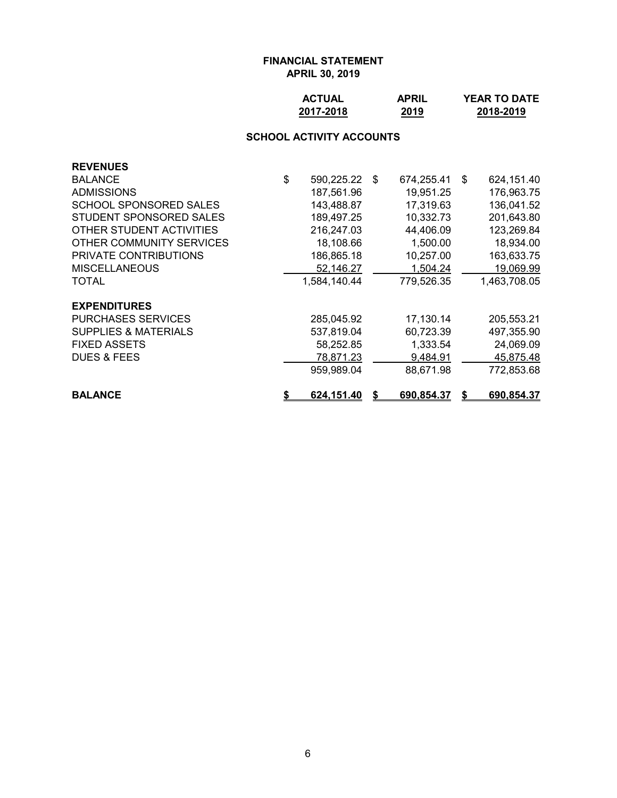| <b>ACTUAL</b> | <b>APRIL</b> | <b>YEAR TO DATE</b> |
|---------------|--------------|---------------------|
| 2017-2018     | 2019         | 2018-2019           |

# **SCHOOL ACTIVITY ACCOUNTS**

| <b>REVENUES</b>                 |                     |   |            |    |              |
|---------------------------------|---------------------|---|------------|----|--------------|
| <b>BALANCE</b>                  | \$<br>590,225.22 \$ |   | 674,255.41 | -S | 624,151.40   |
| <b>ADMISSIONS</b>               | 187,561.96          |   | 19,951.25  |    | 176,963.75   |
| <b>SCHOOL SPONSORED SALES</b>   | 143,488.87          |   | 17,319.63  |    | 136,041.52   |
| STUDENT SPONSORED SALES         | 189,497.25          |   | 10,332.73  |    | 201,643.80   |
| OTHER STUDENT ACTIVITIES        | 216,247.03          |   | 44,406.09  |    | 123,269.84   |
| OTHER COMMUNITY SERVICES        | 18,108.66           |   | 1,500.00   |    | 18,934.00    |
| <b>PRIVATE CONTRIBUTIONS</b>    | 186,865.18          |   | 10,257.00  |    | 163,633.75   |
| <b>MISCELLANEOUS</b>            | 52,146.27           |   | 1,504.24   |    | 19,069.99    |
| <b>TOTAL</b>                    | 1,584,140.44        |   | 779,526.35 |    | 1,463,708.05 |
| <b>EXPENDITURES</b>             |                     |   |            |    |              |
| <b>PURCHASES SERVICES</b>       | 285,045.92          |   | 17,130.14  |    | 205,553.21   |
| <b>SUPPLIES &amp; MATERIALS</b> | 537,819.04          |   | 60,723.39  |    | 497,355.90   |
| <b>FIXED ASSETS</b>             | 58,252.85           |   | 1,333.54   |    | 24,069.09    |
| <b>DUES &amp; FEES</b>          | 78,871.23           |   | 9,484.91   |    | 45,875.48    |
|                                 | 959,989.04          |   | 88,671.98  |    | 772,853.68   |
| <b>BALANCE</b>                  | \$<br>624,151.40    | S | 690,854.37 | S  | 690,854.37   |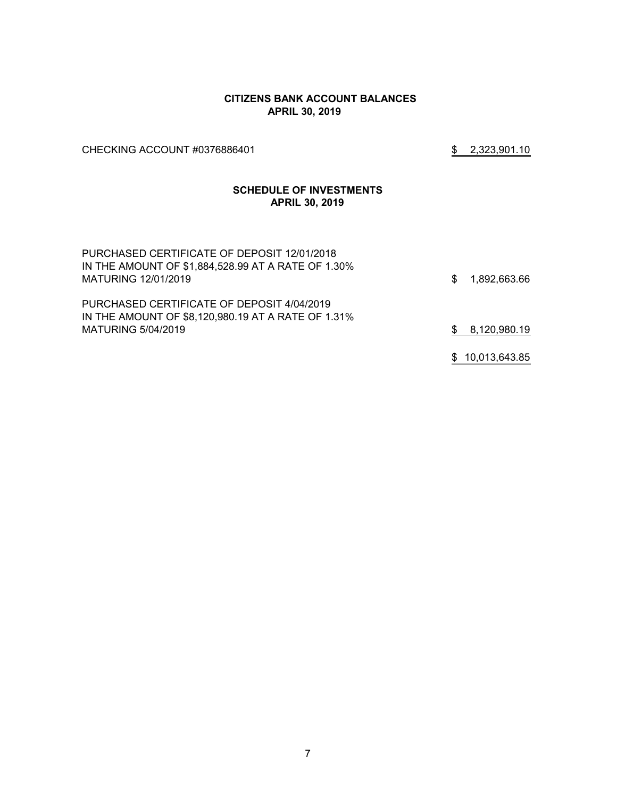#### **CITIZENS BANK ACCOUNT BALANCES APRIL 30, 2019**

CHECKING ACCOUNT #0376886401 \$2,323,901.10

#### **SCHEDULE OF INVESTMENTS APRIL 30, 2019**

| PURCHASED CERTIFICATE OF DEPOSIT 12/01/2018<br>IN THE AMOUNT OF \$1,884,528.99 AT A RATE OF 1.30%<br>MATURING 12/01/2019 | S. | 1,892,663.66    |
|--------------------------------------------------------------------------------------------------------------------------|----|-----------------|
| PURCHASED CERTIFICATE OF DEPOSIT 4/04/2019<br>IN THE AMOUNT OF \$8,120,980.19 AT A RATE OF 1.31%<br>MATURING 5/04/2019   |    | 8,120,980.19    |
|                                                                                                                          |    | \$10,013,643.85 |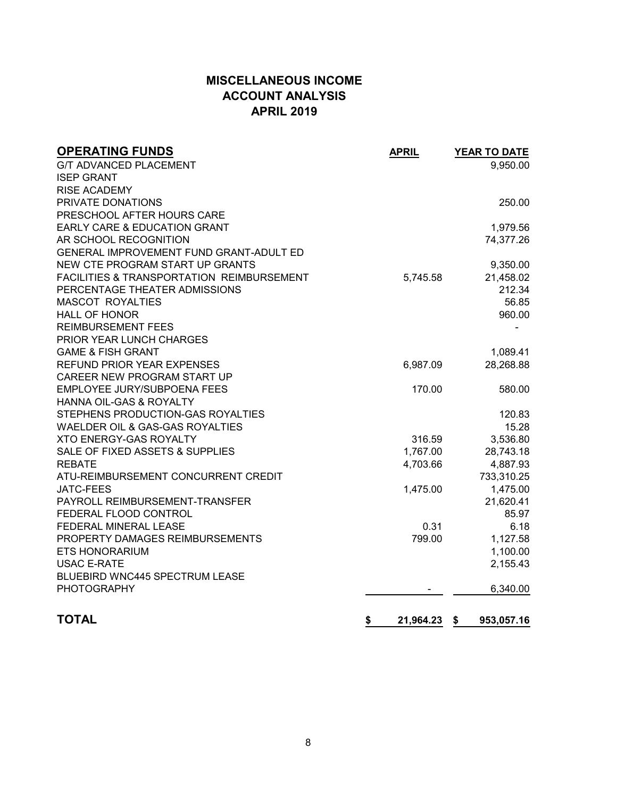# **MISCELLANEOUS INCOME ACCOUNT ANALYSIS APRIL 2019**

| <b>OPERATING FUNDS</b>                               | <b>APRIL</b>    | YEAR TO DATE       |
|------------------------------------------------------|-----------------|--------------------|
| <b>G/T ADVANCED PLACEMENT</b>                        |                 | 9,950.00           |
| <b>ISEP GRANT</b>                                    |                 |                    |
| <b>RISE ACADEMY</b>                                  |                 |                    |
| PRIVATE DONATIONS                                    |                 | 250.00             |
| PRESCHOOL AFTER HOURS CARE                           |                 |                    |
| <b>EARLY CARE &amp; EDUCATION GRANT</b>              |                 | 1,979.56           |
| AR SCHOOL RECOGNITION                                |                 | 74,377.26          |
| GENERAL IMPROVEMENT FUND GRANT-ADULT ED              |                 |                    |
| NEW CTE PROGRAM START UP GRANTS                      |                 | 9,350.00           |
| <b>FACILITIES &amp; TRANSPORTATION REIMBURSEMENT</b> | 5,745.58        | 21,458.02          |
| PERCENTAGE THEATER ADMISSIONS                        |                 | 212.34             |
| <b>MASCOT ROYALTIES</b>                              |                 | 56.85              |
| <b>HALL OF HONOR</b>                                 |                 | 960.00             |
| <b>REIMBURSEMENT FEES</b>                            |                 |                    |
| PRIOR YEAR LUNCH CHARGES                             |                 |                    |
| <b>GAME &amp; FISH GRANT</b>                         |                 | 1,089.41           |
| REFUND PRIOR YEAR EXPENSES                           | 6,987.09        | 28,268.88          |
| CAREER NEW PROGRAM START UP                          |                 |                    |
| EMPLOYEE JURY/SUBPOENA FEES                          | 170.00          | 580.00             |
| <b>HANNA OIL-GAS &amp; ROYALTY</b>                   |                 |                    |
| STEPHENS PRODUCTION-GAS ROYALTIES                    |                 | 120.83             |
| WAELDER OIL & GAS-GAS ROYALTIES                      |                 | 15.28              |
| <b>XTO ENERGY-GAS ROYALTY</b>                        | 316.59          | 3,536.80           |
| SALE OF FIXED ASSETS & SUPPLIES                      | 1,767.00        | 28,743.18          |
| <b>REBATE</b>                                        | 4,703.66        | 4,887.93           |
| ATU-REIMBURSEMENT CONCURRENT CREDIT                  |                 | 733,310.25         |
| <b>JATC-FEES</b>                                     | 1,475.00        | 1,475.00           |
| PAYROLL REIMBURSEMENT-TRANSFER                       |                 | 21,620.41          |
| FEDERAL FLOOD CONTROL                                |                 | 85.97              |
| FEDERAL MINERAL LEASE                                | 0.31            | 6.18               |
| PROPERTY DAMAGES REIMBURSEMENTS                      | 799.00          | 1,127.58           |
| <b>ETS HONORARIUM</b>                                |                 | 1,100.00           |
| <b>USAC E-RATE</b>                                   |                 | 2,155.43           |
| BLUEBIRD WNC445 SPECTRUM LEASE                       |                 |                    |
| <b>PHOTOGRAPHY</b>                                   |                 | 6,340.00           |
|                                                      |                 |                    |
| <b>TOTAL</b>                                         | \$<br>21,964.23 | 953,057.16<br>- \$ |